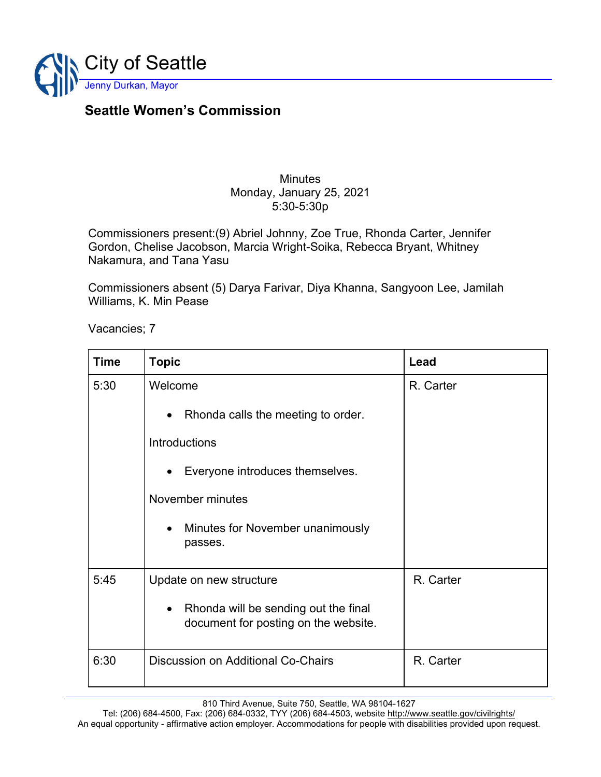

## **Seattle Women's Commission**

## **Minutes** Monday, January 25, 2021 5:30-5:30p

Commissioners present:(9) Abriel Johnny, Zoe True, Rhonda Carter, Jennifer Gordon, Chelise Jacobson, Marcia Wright-Soika, Rebecca Bryant, Whitney Nakamura, and Tana Yasu

Commissioners absent (5) Darya Farivar, Diya Khanna, Sangyoon Lee, Jamilah Williams, K. Min Pease

Vacancies; 7

| <b>Time</b> | <b>Topic</b>                                                                              | Lead      |
|-------------|-------------------------------------------------------------------------------------------|-----------|
| 5:30        | Welcome                                                                                   | R. Carter |
|             | Rhonda calls the meeting to order.<br>$\bullet$                                           |           |
|             | Introductions                                                                             |           |
|             | Everyone introduces themselves.<br>$\bullet$                                              |           |
|             | November minutes                                                                          |           |
|             | Minutes for November unanimously<br>$\bullet$<br>passes.                                  |           |
| 5:45        | Update on new structure                                                                   | R. Carter |
|             | Rhonda will be sending out the final<br>$\bullet$<br>document for posting on the website. |           |
| 6:30        | Discussion on Additional Co-Chairs                                                        | R. Carter |

810 Third Avenue, Suite 750, Seattle, WA 98104-1627

Tel: (206) 684-4500, Fax: (206) 684-0332, TYY (206) 684-4503, website<http://www.seattle.gov/civilrights/> An equal opportunity - affirmative action employer. Accommodations for people with disabilities provided upon request.